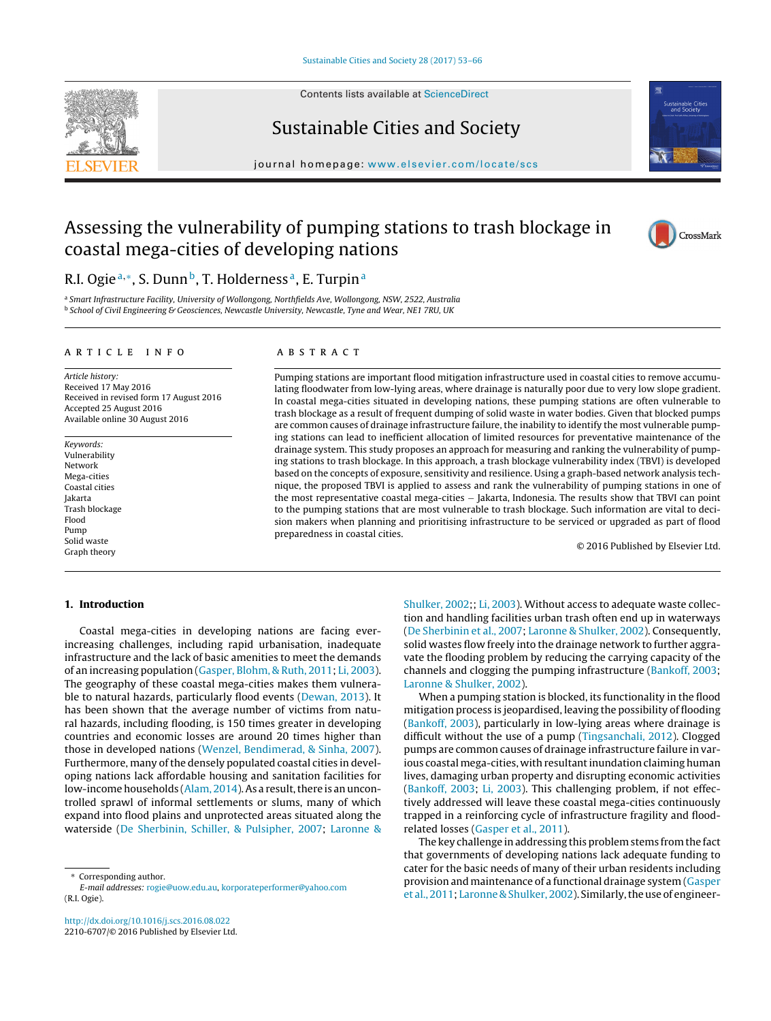

Contents lists available at [ScienceDirect](http://www.sciencedirect.com/science/journal/22106707)

# Sustainable Cities and Society





# Assessing the vulnerability of pumping stations to trash blockage in coastal mega-cities of developing nations



# R.I. Ogie<sup>a,∗</sup>, S. Dunn<sup>b</sup>, T. Holderness<sup>a</sup>, E. Turpin<sup>a</sup>

a Smart Infrastructure Facility, University of Wollongong, Northfields Ave, Wollongong, NSW, 2522, Australia <sup>b</sup> School of Civil Engineering & Geosciences, Newcastle University, Newcastle, Tyne and Wear, NE1 7RU, UK

#### a r t i c l e i n f o

Article history: Received 17 May 2016 Received in revised form 17 August 2016 Accepted 25 August 2016 Available online 30 August 2016

Keywords: Vulnerability Network Mega-cities Coastal cities Jakarta Trash blockage Flood Pump Solid waste Graph theory

## A B S T R A C T

Pumping stations are important flood mitigation infrastructure used in coastal cities to remove accumulating floodwater from low-lying areas, where drainage is naturally poor due to very low slope gradient. In coastal mega-cities situated in developing nations, these pumping stations are often vulnerable to trash blockage as a result of frequent dumping of solid waste in water bodies. Given that blocked pumps are common causes of drainage infrastructure failure, the inability to identify the most vulnerable pumping stations can lead to inefficient allocation of limited resources for preventative maintenance of the drainage system. This study proposes an approach for measuring and ranking the vulnerability of pumping stations to trash blockage. In this approach, a trash blockage vulnerability index (TBVI) is developed based on the concepts of exposure, sensitivity and resilience. Using a graph-based network analysis technique, the proposed TBVI is applied to assess and rank the vulnerability of pumping stations in one of the most representative coastal mega-cities − Jakarta, Indonesia. The results show that TBVI can point to the pumping stations that are most vulnerable to trash blockage. Such information are vital to decision makers when planning and prioritising infrastructure to be serviced or upgraded as part of flood preparedness in coastal cities.

© 2016 Published by Elsevier Ltd.

# **1. Introduction**

Coastal mega-cities in developing nations are facing everincreasing challenges, including rapid urbanisation, inadequate infrastructure and the lack of basic amenities to meet the demands of an increasing population [\(Gasper,](#page--1-0) [Blohm,](#page--1-0) [&](#page--1-0) [Ruth,](#page--1-0) [2011;](#page--1-0) [Li,](#page--1-0) [2003\).](#page--1-0) The geography of these coastal mega-cities makes them vulnerable to natural hazards, particularly flood events ([Dewan,](#page--1-0) [2013\).](#page--1-0) It has been shown that the average number of victims from natural hazards, including flooding, is 150 times greater in developing countries and economic losses are around 20 times higher than those in developed nations ([Wenzel,](#page--1-0) [Bendimerad,](#page--1-0) [&](#page--1-0) [Sinha,](#page--1-0) [2007\).](#page--1-0) Furthermore, many of the densely populated coastal cities in developing nations lack affordable housing and sanitation facilities for low-income households ([Alam,](#page--1-0) [2014\).](#page--1-0) As a result, there is an uncontrolled sprawl of informal settlements or slums, many of which expand into flood plains and unprotected areas situated along the waterside [\(De](#page--1-0) [Sherbinin,](#page--1-0) [Schiller,](#page--1-0) [&](#page--1-0) [Pulsipher,](#page--1-0) [2007;](#page--1-0) [Laronne](#page--1-0) [&](#page--1-0)

[http://dx.doi.org/10.1016/j.scs.2016.08.022](dx.doi.org/10.1016/j.scs.2016.08.022) 2210-6707/© 2016 Published by Elsevier Ltd. [Shulker,](#page--1-0) [2002;;](#page--1-0) [Li,](#page--1-0) [2003\).](#page--1-0) Without access to adequate waste collection and handling facilities urban trash often end up in waterways [\(De](#page--1-0) [Sherbinin](#page--1-0) et [al.,](#page--1-0) [2007;](#page--1-0) [Laronne](#page--1-0) [&](#page--1-0) [Shulker,](#page--1-0) [2002\).](#page--1-0) Consequently, solid wastes flow freely into the drainage network to further aggravate the flooding problem by reducing the carrying capacity of the channels and clogging the pumping infrastructure [\(Bankoff,](#page--1-0) [2003;](#page--1-0) [Laronne](#page--1-0) [&](#page--1-0) [Shulker,](#page--1-0) [2002\).](#page--1-0)

When a pumping station is blocked, its functionality in the flood mitigation process is jeopardised, leaving the possibility of flooding [\(Bankoff,](#page--1-0) [2003\),](#page--1-0) particularly in low-lying areas where drainage is difficult without the use of a pump [\(Tingsanchali,](#page--1-0) [2012\).](#page--1-0) Clogged pumps are common causes of drainage infrastructure failure in various coastal mega-cities, with resultant inundation claiming human lives, damaging urban property and disrupting economic activities [\(Bankoff,](#page--1-0) [2003;](#page--1-0) [Li,](#page--1-0) [2003\).](#page--1-0) This challenging problem, if not effectively addressed will leave these coastal mega-cities continuously trapped in a reinforcing cycle of infrastructure fragility and floodrelated losses ([Gasper](#page--1-0) et [al.,](#page--1-0) [2011\).](#page--1-0)

The key challenge in addressing this problem stems from the fact that governments of developing nations lack adequate funding to cater for the basic needs of many of their urban residents including provision and maintenance of a functional drainage system [\(Gasper](#page--1-0) et [al.,](#page--1-0) [2011;](#page--1-0) [Laronne](#page--1-0) [&](#page--1-0) [Shulker,](#page--1-0) [2002\).](#page--1-0) Similarly, the use of engineer-

Corresponding author.

E-mail addresses: [rogie@uow.edu.au](mailto:rogie@uow.edu.au), [korporateperformer@yahoo.com](mailto:korporateperformer@yahoo.com) (R.I. Ogie).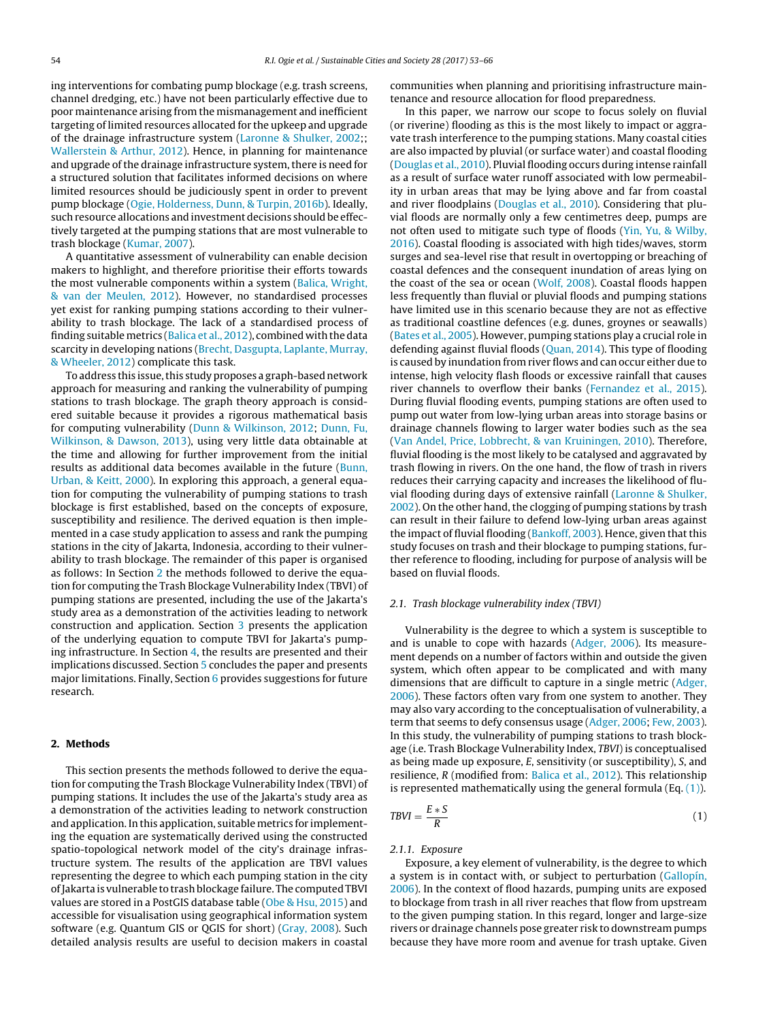ing interventions for combating pump blockage (e.g. trash screens, channel dredging, etc.) have not been particularly effective due to poor maintenance arising from the mismanagement and inefficient targeting of limited resources allocated for the upkeep and upgrade of the drainage infrastructure system [\(Laronne](#page--1-0) [&](#page--1-0) [Shulker,](#page--1-0) [2002;;](#page--1-0) [Wallerstein](#page--1-0) [&](#page--1-0) [Arthur,](#page--1-0) [2012\).](#page--1-0) Hence, in planning for maintenance and upgrade of the drainage infrastructure system, there is need for a structured solution that facilitates informed decisions on where limited resources should be judiciously spent in order to prevent pump blockage [\(Ogie,](#page--1-0) [Holderness,](#page--1-0) [Dunn,](#page--1-0) [&](#page--1-0) [Turpin,](#page--1-0) [2016b\).](#page--1-0) Ideally, such resource allocations and investment decisions should be effectively targeted at the pumping stations that are most vulnerable to trash blockage [\(Kumar,](#page--1-0) [2007\).](#page--1-0)

A quantitative assessment of vulnerability can enable decision makers to highlight, and therefore prioritise their efforts towards the most vulnerable components within a system ([Balica,](#page--1-0) [Wright,](#page--1-0) [&](#page--1-0) [van](#page--1-0) [der](#page--1-0) [Meulen,](#page--1-0) [2012\).](#page--1-0) However, no standardised processes yet exist for ranking pumping stations according to their vulnerability to trash blockage. The lack of a standardised process of finding suitable metrics ([Balica](#page--1-0) et [al.,](#page--1-0) [2012\),](#page--1-0) combined with the data scarcity in developing nations [\(Brecht,](#page--1-0) [Dasgupta,](#page--1-0) [Laplante,](#page--1-0) [Murray,](#page--1-0) [&](#page--1-0) [Wheeler,](#page--1-0) [2012\)](#page--1-0) complicate this task.

To address this issue, this study proposes a graph-based network approach for measuring and ranking the vulnerability of pumping stations to trash blockage. The graph theory approach is considered suitable because it provides a rigorous mathematical basis for computing vulnerability ([Dunn](#page--1-0) [&](#page--1-0) [Wilkinson,](#page--1-0) [2012;](#page--1-0) [Dunn,](#page--1-0) [Fu,](#page--1-0) [Wilkinson,](#page--1-0) [&](#page--1-0) [Dawson,](#page--1-0) [2013\),](#page--1-0) using very little data obtainable at the time and allowing for further improvement from the initial results as additional data becomes available in the future ([Bunn,](#page--1-0) [Urban,](#page--1-0) [&](#page--1-0) [Keitt,](#page--1-0) [2000\).](#page--1-0) In exploring this approach, a general equation for computing the vulnerability of pumping stations to trash blockage is first established, based on the concepts of exposure, susceptibility and resilience. The derived equation is then implemented in a case study application to assess and rank the pumping stations in the city of Jakarta, Indonesia, according to their vulnerability to trash blockage. The remainder of this paper is organised as follows: In Section 2 the methods followed to derive the equation for computing the Trash Blockage Vulnerability Index (TBVI) of pumping stations are presented, including the use of the Jakarta's study area as a demonstration of the activities leading to network construction and application. Section [3](#page--1-0) presents the application of the underlying equation to compute TBVI for Jakarta's pumping infrastructure. In Section [4,](#page--1-0) the results are presented and their implications discussed. Section [5](#page--1-0) concludes the paper and presents major limitations. Finally, Section [6](#page--1-0) provides suggestions for future research.

### **2. Methods**

This section presents the methods followed to derive the equation for computing the Trash Blockage Vulnerability Index (TBVI) of pumping stations. It includes the use of the Jakarta's study area as a demonstration of the activities leading to network construction and application. In this application, suitable metrics for implementing the equation are systematically derived using the constructed spatio-topological network model of the city's drainage infrastructure system. The results of the application are TBVI values representing the degree to which each pumping station in the city ofJakarta is vulnerable to trash blockage failure. The computed TBVI values are stored in a PostGIS database table ([Obe](#page--1-0) [&](#page--1-0) [Hsu,](#page--1-0) [2015\)](#page--1-0) and accessible for visualisation using geographical information system software (e.g. Quantum GIS or QGIS for short) [\(Gray,](#page--1-0) [2008\).](#page--1-0) Such detailed analysis results are useful to decision makers in coastal

communities when planning and prioritising infrastructure maintenance and resource allocation for flood preparedness.

In this paper, we narrow our scope to focus solely on fluvial (or riverine) flooding as this is the most likely to impact or aggravate trash interference to the pumping stations. Many coastal cities are also impacted by pluvial (or surface water) and coastal flooding [\(Douglas](#page--1-0) et [al.,](#page--1-0) [2010\).](#page--1-0) Pluvial flooding occurs during intense rainfall as a result of surface water runoff associated with low permeability in urban areas that may be lying above and far from coastal and river floodplains [\(Douglas](#page--1-0) et [al.,](#page--1-0) [2010\).](#page--1-0) Considering that pluvial floods are normally only a few centimetres deep, pumps are not often used to mitigate such type of floods ([Yin,](#page--1-0) [Yu,](#page--1-0) [&](#page--1-0) [Wilby,](#page--1-0) [2016\).](#page--1-0) Coastal flooding is associated with high tides/waves, storm surges and sea-level rise that result in overtopping or breaching of coastal defences and the consequent inundation of areas lying on the coast of the sea or ocean [\(Wolf,](#page--1-0) [2008\).](#page--1-0) Coastal floods happen less frequently than fluvial or pluvial floods and pumping stations have limited use in this scenario because they are not as effective as traditional coastline defences (e.g. dunes, groynes or seawalls) [\(Bates](#page--1-0) et [al.,](#page--1-0) [2005\).](#page--1-0) However, pumping stations play a crucial role in defending against fluvial floods [\(Quan,](#page--1-0) [2014\).](#page--1-0) This type of flooding is caused by inundation from river flows and can occur either due to intense, high velocity flash floods or excessive rainfall that causes river channels to overflow their banks [\(Fernandez](#page--1-0) et [al.,](#page--1-0) [2015\).](#page--1-0) During fluvial flooding events, pumping stations are often used to pump out water from low-lying urban areas into storage basins or drainage channels flowing to larger water bodies such as the sea [\(Van](#page--1-0) [Andel,](#page--1-0) [Price,](#page--1-0) [Lobbrecht,](#page--1-0) [&](#page--1-0) [van](#page--1-0) [Kruiningen,](#page--1-0) [2010\).](#page--1-0) Therefore, fluvial flooding is the most likely to be catalysed and aggravated by trash flowing in rivers. On the one hand, the flow of trash in rivers reduces their carrying capacity and increases the likelihood of fluvial flooding during days of extensive rainfall [\(Laronne](#page--1-0) [&](#page--1-0) [Shulker,](#page--1-0) [2002\).](#page--1-0) On the other hand, the clogging of pumping stations by trash can result in their failure to defend low-lying urban areas against the impact of fluvial flooding ([Bankoff,](#page--1-0) [2003\).](#page--1-0) Hence, given that this study focuses on trash and their blockage to pumping stations, further reference to flooding, including for purpose of analysis will be based on fluvial floods.

#### 2.1. Trash blockage vulnerability index (TBVI)

Vulnerability is the degree to which a system is susceptible to and is unable to cope with hazards [\(Adger,](#page--1-0) [2006\).](#page--1-0) Its measurement depends on a number of factors within and outside the given system, which often appear to be complicated and with many dimensions that are difficult to capture in a single metric [\(Adger,](#page--1-0) [2006\).](#page--1-0) These factors often vary from one system to another. They may also vary according to the conceptualisation of vulnerability, a term that seems to defy consensus usage [\(Adger,](#page--1-0) [2006;](#page--1-0) [Few,](#page--1-0) [2003\).](#page--1-0) In this study, the vulnerability of pumping stations to trash blockage (i.e. Trash Blockage Vulnerability Index, TBVI) is conceptualised as being made up exposure, E, sensitivity (or susceptibility), S, and resilience,  $R$  (modified from: [Balica](#page--1-0) et [al.,](#page--1-0) [2012\).](#page--1-0) This relationship is represented mathematically using the general formula  $(Eq. (1))$ .

$$
TBVI = \frac{E * S}{R}
$$
 (1)

### 2.1.1. Exposure

Exposure, a key element of vulnerability, is the degree to which a system is in contact with, or subject to perturbation ([Gallopín,](#page--1-0) [2006\).](#page--1-0) In the context of flood hazards, pumping units are exposed to blockage from trash in all river reaches that flow from upstream to the given pumping station. In this regard, longer and large-size rivers or drainage channels pose greater risk to downstream pumps because they have more room and avenue for trash uptake. Given